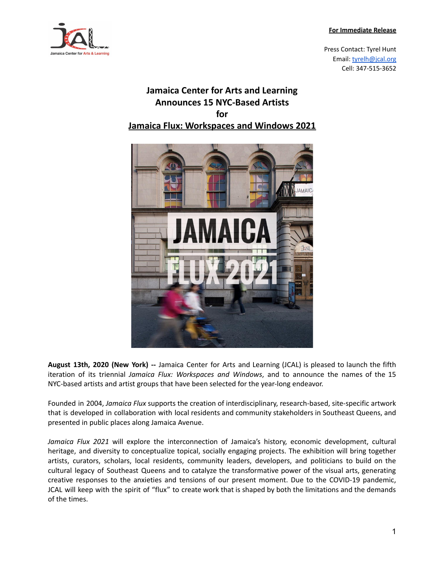## **For Immediate Release**



Press Contact: Tyrel Hunt Email: [tyrelh@jcal.org](mailto:tyrelh@jcal.org) Cell: 347-515-3652

## **Jamaica Center for Arts and Learning Announces 15 NYC-Based Artists for Jamaica Flux: Workspaces and Windows 2021**



**August 13th, 2020 (New York) --** Jamaica Center for Arts and Learning (JCAL) is pleased to launch the fifth iteration of its triennial *Jamaica Flux: Workspaces and Windows*, and to announce the names of the 15 NYC-based artists and artist groups that have been selected for the year-long endeavor.

Founded in 2004, *Jamaica Flux* supports the creation of interdisciplinary, research-based, site-specific artwork that is developed in collaboration with local residents and community stakeholders in Southeast Queens, and presented in public places along Jamaica Avenue.

*Jamaica Flux 2021* will explore the interconnection of Jamaica's history, economic development, cultural heritage, and diversity to conceptualize topical, socially engaging projects. The exhibition will bring together artists, curators, scholars, local residents, community leaders, developers, and politicians to build on the cultural legacy of Southeast Queens and to catalyze the transformative power of the visual arts, generating creative responses to the anxieties and tensions of our present moment. Due to the COVID-19 pandemic, JCAL will keep with the spirit of "flux" to create work that is shaped by both the limitations and the demands of the times.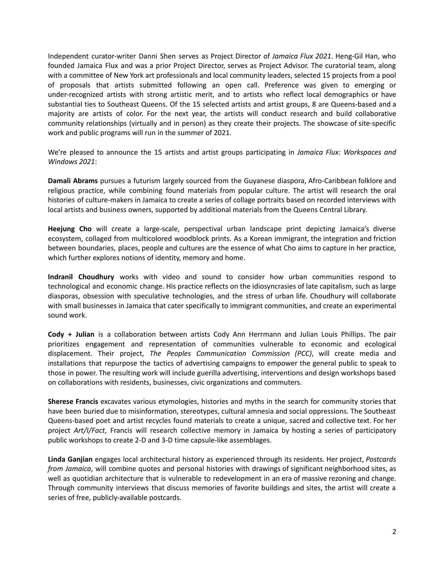Independent curator-writer Danni Shen serves as Project Director of *Jamaica Flux 2021*. Heng-Gil Han, who founded Jamaica Flux and was a prior Project Director, serves as Project Advisor. The curatorial team, along with a committee of New York art professionals and local community leaders, selected 15 projects from a pool of proposals that artists submitted following an open call. Preference was given to emerging or under-recognized artists with strong artistic merit, and to artists who reflect local demographics or have substantial ties to Southeast Queens. Of the 15 selected artists and artist groups, 8 are Queens-based and a majority are artists of color. For the next year, the artists will conduct research and build collaborative community relationships (virtually and in person) as they create their projects. The showcase of site-specific work and public programs will run in the summer of 2021.

We're pleased to announce the 15 artists and artist groups participating in *Jamaica Flux: Workspaces and Windows 2021*:

**Damali Abrams** pursues a futurism largely sourced from the Guyanese diaspora, Afro-Caribbean folklore and religious practice, while combining found materials from popular culture. The artist will research the oral histories of culture-makers in Jamaica to create a series of collage portraits based on recorded interviews with local artists and business owners, supported by additional materials from the Queens Central Library.

**Heejung Cho** will create a large-scale, perspectival urban landscape print depicting Jamaica's diverse ecosystem, collaged from multicolored woodblock prints. As a Korean immigrant, the integration and friction between boundaries, places, people and cultures are the essence of what Cho aims to capture in her practice, which further explores notions of identity, memory and home.

**Indranil Choudhury** works with video and sound to consider how urban communities respond to technological and economic change. His practice reflects on the idiosyncrasies of late capitalism, such as large diasporas, obsession with speculative technologies, and the stress of urban life. Choudhury will collaborate with small businesses in Jamaica that cater specifically to immigrant communities, and create an experimental sound work.

**Cody + Julian** is a collaboration between artists Cody Ann Herrmann and Julian Louis Phillips. The pair prioritizes engagement and representation of communities vulnerable to economic and ecological displacement. Their project, *The Peoples Communication Commission (PCC)*, will create media and installations that repurpose the tactics of advertising campaigns to empower the general public to speak to those in power. The resulting work will include guerilla advertising, interventions and design workshops based on collaborations with residents, businesses, civic organizations and commuters.

**Sherese Francis** excavates various etymologies, histories and myths in the search for community stories that have been buried due to misinformation, stereotypes, cultural amnesia and social oppressions. The Southeast Queens-based poet and artist recycles found materials to create a unique, sacred and collective text. For her project *Art/I/Fact*, Francis will research collective memory in Jamaica by hosting a series of participatory public workshops to create 2-D and 3-D time capsule-like assemblages.

**Linda Ganjian** engages local architectural history as experienced through its residents. Her project, *Postcards from Jamaica*, will combine quotes and personal histories with drawings of significant neighborhood sites, as well as quotidian architecture that is vulnerable to redevelopment in an era of massive rezoning and change. Through community interviews that discuss memories of favorite buildings and sites, the artist will create a series of free, publicly-available postcards.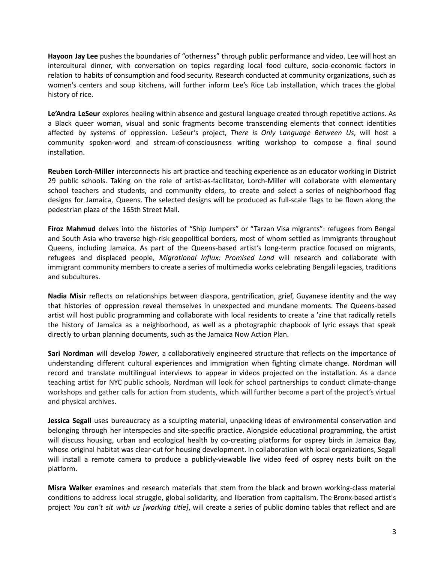**Hayoon Jay Lee** pushes the boundaries of "otherness" through public performance and video. Lee will host an intercultural dinner, with conversation on topics regarding local food culture, socio-economic factors in relation to habits of consumption and food security. Research conducted at community organizations, such as women's centers and soup kitchens, will further inform Lee's Rice Lab installation, which traces the global history of rice.

**Le'Andra LeSeur** explores healing within absence and gestural language created through repetitive actions. As a Black queer woman, visual and sonic fragments become transcending elements that connect identities affected by systems of oppression. LeSeur's project, *There is Only Language Between Us*, will host a community spoken-word and stream-of-consciousness writing workshop to compose a final sound installation.

**Reuben Lorch-Miller** interconnects his art practice and teaching experience as an educator working in District 29 public schools. Taking on the role of artist-as-facilitator, Lorch-Miller will collaborate with elementary school teachers and students, and community elders, to create and select a series of neighborhood flag designs for Jamaica, Queens. The selected designs will be produced as full-scale flags to be flown along the pedestrian plaza of the 165th Street Mall.

**Firoz Mahmud** delves into the histories of "Ship Jumpers" or "Tarzan Visa migrants": refugees from Bengal and South Asia who traverse high-risk geopolitical borders, most of whom settled as immigrants throughout Queens, including Jamaica. As part of the Queens-based artist's long-term practice focused on migrants, refugees and displaced people, *Migrational Influx: Promised Land* will research and collaborate with immigrant community members to create a series of multimedia works celebrating Bengali legacies, traditions and subcultures.

**Nadia Misir** reflects on relationships between diaspora, gentrification, grief, Guyanese identity and the way that histories of oppression reveal themselves in unexpected and mundane moments. The Queens-based artist will host public programming and collaborate with local residents to create a 'zine that radically retells the history of Jamaica as a neighborhood, as well as a photographic chapbook of lyric essays that speak directly to urban planning documents, such as the Jamaica Now Action Plan.

**Sari Nordman** will develop *Tower*, a collaboratively engineered structure that reflects on the importance of understanding different cultural experiences and immigration when fighting climate change. Nordman will record and translate multilingual interviews to appear in videos projected on the installation. As a dance teaching artist for NYC public schools, Nordman will look for school partnerships to conduct climate-change workshops and gather calls for action from students, which will further become a part of the project's virtual and physical archives.

**Jessica Segall** uses bureaucracy as a sculpting material, unpacking ideas of environmental conservation and belonging through her interspecies and site-specific practice. Alongside educational programming, the artist will discuss housing, urban and ecological health by co-creating platforms for osprey birds in Jamaica Bay, whose original habitat was clear-cut for housing development. In collaboration with local organizations, Segall will install a remote camera to produce a publicly-viewable live video feed of osprey nests built on the platform.

**Misra Walker** examines and research materials that stem from the black and brown working-class material conditions to address local struggle, global solidarity, and liberation from capitalism. The Bronx-based artist's project *You can't sit with us [working title]*, will create a series of public domino tables that reflect and are